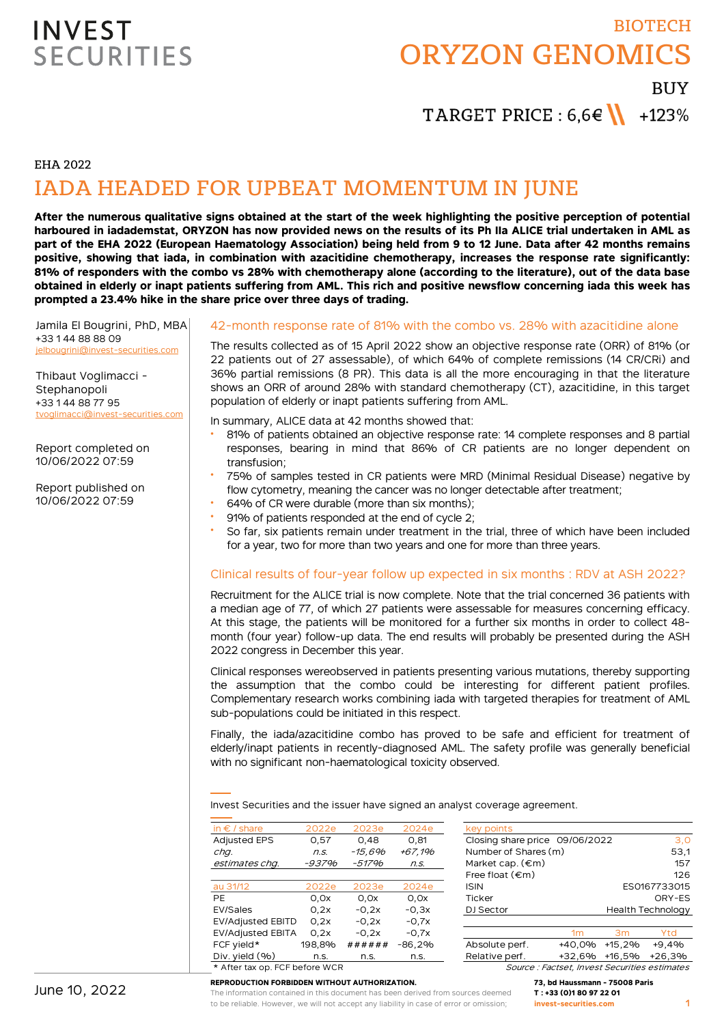# BIOTECH ORYZON GENOMICS

**BUY** 

TARGET PRICE :  $6.6 \in \mathbb{N}$  +123%

EHA 2022

## IADA HEADED FOR UPBEAT MOMENTUM IN JUNE

**After the numerous qualitative signs obtained at the start of the week highlighting the positive perception of potential harboured in iadademstat, ORYZON has now provided news on the results of its Ph IIa ALICE trial undertaken in AML as part of the EHA 2022 (European Haematology Association) being held from 9 to 12 June. Data after 42 months remains positive, showing that iada, in combination with azacitidine chemotherapy, increases the response rate significantly: 81% of responders with the combo vs 28% with chemotherapy alone (according to the literature), out of the data base obtained in elderly or inapt patients suffering from AML. This rich and positive newsflow concerning iada this week has prompted a 23.4% hike in the share price over three days of trading.**

Jamila El Bougrini, PhD, MBA +33 1 44 88 88 09 jelbougrini@invest-securities.com

Thibaut Voglimacci - Stephanopoli +33 1 44 88 77 95 tvoglimacci@invest-securities.com

Report completed on 10/06/2022 07:59

Report published on 10/06/2022 07:59

### 42-month response rate of 81% with the combo vs. 28% with azacitidine alone

The results collected as of 15 April 2022 show an objective response rate (ORR) of 81% (or 22 patients out of 27 assessable), of which 64% of complete remissions (14 CR/CRi) and 36% partial remissions (8 PR). This data is all the more encouraging in that the literature shows an ORR of around 28% with standard chemotherapy (CT), azacitidine, in this target population of elderly or inapt patients suffering from AML.

In summary, ALICE data at 42 months showed that:

- 81% of patients obtained an objective response rate: 14 complete responses and 8 partial responses, bearing in mind that 86% of CR patients are no longer dependent on transfusion;
- 75% of samples tested in CR patients were MRD (Minimal Residual Disease) negative by flow cytometry, meaning the cancer was no longer detectable after treatment;
- 64% of CR were durable (more than six months);
- 91% of patients responded at the end of cycle 2;
- So far, six patients remain under treatment in the trial, three of which have been included for a year, two for more than two years and one for more than three years.

### Clinical results of four-year follow up expected in six months : RDV at ASH 2022?

Recruitment for the ALICE trial is now complete. Note that the trial concerned 36 patients with a median age of 77, of which 27 patients were assessable for measures concerning efficacy. At this stage, the patients will be monitored for a further six months in order to collect 48 month (four year) follow-up data. The end results will probably be presented during the ASH 2022 congress in December this year.

Clinical responses wereobserved in patients presenting various mutations, thereby supporting the assumption that the combo could be interesting for different patient profiles. Complementary research works combining iada with targeted therapies for treatment of AML sub-populations could be initiated in this respect.

Finally, the iada/azacitidine combo has proved to be safe and efficient for treatment of elderly/inapt patients in recently-diagnosed AML. The safety profile was generally beneficial with no significant non-haematological toxicity observed.

Invest Securities and the issuer have signed an analyst coverage agreement.

| in $\epsilon$ / share          | 2022e  | 2023e   | 2024e    | key points                                    |          |                          |
|--------------------------------|--------|---------|----------|-----------------------------------------------|----------|--------------------------|
| <b>Adjusted EPS</b>            | 0.57   | 0.48    | 0,81     | Closing share price 09/06/2022                |          | 3,0                      |
| chq.                           | n.S.   | -15.6%  | +67.1%   | Number of Shares (m)                          |          | 53,1                     |
| estimates chq.                 | -937%  | -517%   | n.S.     | Market cap. $(\epsilon m)$                    |          | 157                      |
|                                |        |         |          | Free float $(\epsilon m)$                     |          | 126                      |
| au 31/12                       | 2022e  | 2023e   | 2024e    | <b>ISIN</b>                                   |          | ES0167733015             |
| PE                             | 0.0x   | 0.0x    | 0,0x     | <b>Ticker</b>                                 |          | ORY-ES                   |
| EV/Sales                       | 0.2x   | $-0.2x$ | $-0.3x$  | DJ Sector                                     |          | <b>Health Technology</b> |
| <b>EV/Adjusted EBITD</b>       | 0.2x   | $-0.2x$ | $-0.7x$  |                                               |          |                          |
| <b>EV/Adjusted EBITA</b>       | 0.2x   | $-0.2x$ | $-0.7x$  | 1 <sub>m</sub>                                | 3m       | Ytd                      |
| FCF yield*                     | 198.8% | ######  | $-86,2%$ | Absolute perf.<br>+40.0%                      | $+15.2%$ | $+9.4%$                  |
| Div. yield $(96)$              | n.s.   | n.s.    | n.s.     | Relative perf.<br>+32.6%                      | +16.5%   | $+26.3%$                 |
| * After tax op. FCF before WCR |        |         |          | Source : Factset, Invest Securities estimates |          |                          |

| Number of Shares (m)       | 53,1                     |     |
|----------------------------|--------------------------|-----|
| Market cap. $(\epsilon m)$ |                          | 157 |
| Free float $(\epsilon m)$  |                          | 126 |
| ISIN                       | ES0167733015             |     |
| <b>Ticker</b>              | ORY-ES                   |     |
| DJ Sector                  | <b>Health Technology</b> |     |
|                            |                          |     |
|                            |                          |     |

#### **REPRODUCTION FORBIDDEN WITHOUT AUTHORIZATION.**

The information contained in this document has been derived from sources deemed to be reliable. However, we will not accept any liability in case of error or omission;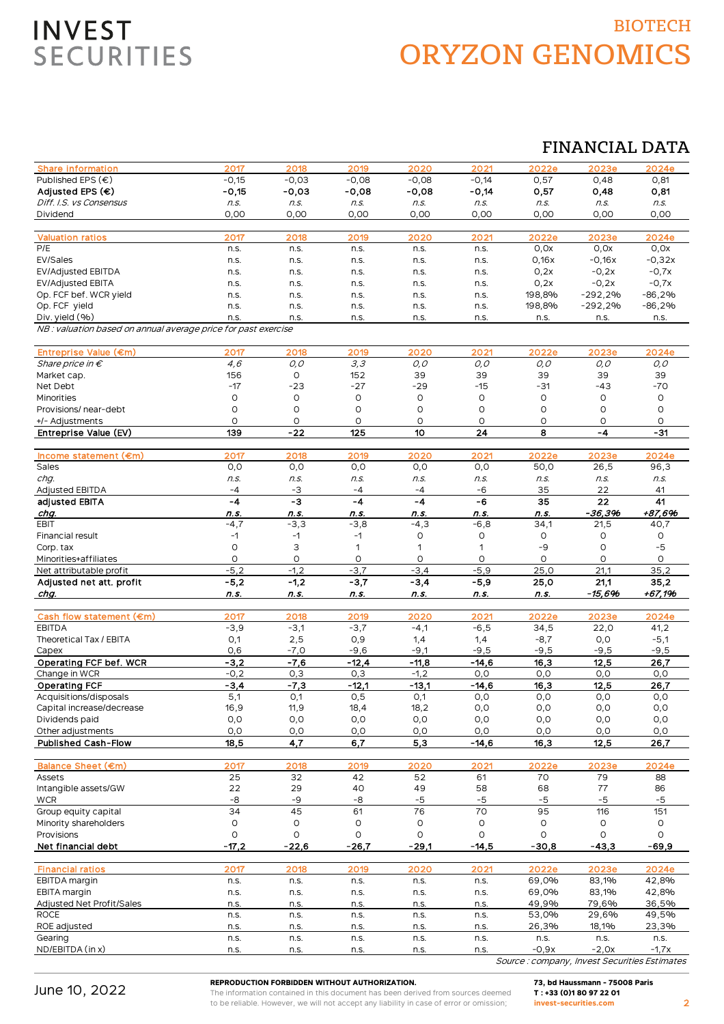## BIOTECH ORYZON GENOMICS

### FINANCIAL DATA

| <b>Share information</b>                                       | 2017           | 2018           | 2019           | 2020           | 2021            | 2022e          | 2023e             | 2024e          |
|----------------------------------------------------------------|----------------|----------------|----------------|----------------|-----------------|----------------|-------------------|----------------|
| Published EPS $(\epsilon)$                                     | $-0,15$        | $-0,03$        | $-0,08$        | $-0,08$        | $-0,14$         | 0,57           | 0,48              | 0,81           |
| Adjusted EPS (€)                                               | $-0,15$        | $-0,03$        | $-0,08$        | $-0,08$        | $-0,14$         | 0,57           | 0,48              | 0,81           |
| Diff. I.S. vs Consensus                                        | n.s.           | n.s.           | n.s.           | n.s.           | n.s.            | n.s.           | n.S.              | n.s.           |
| Dividend                                                       | 0,00           | 0,00           | 0,00           | 0,00           | 0,00            | 0,00           | 0,00              | 0,00           |
|                                                                |                |                |                |                |                 |                |                   |                |
| <b>Valuation ratios</b>                                        | 2017           | 2018           | 2019           | 2020           | 2021            | 2022e          | 2023e             | 2024e          |
| P/E                                                            | n.s.           | n.s.           | n.s.           | n.s.           | n.s.            | 0,0x           | 0,0x              | 0,0x           |
| EV/Sales                                                       | n.s.           | n.s.           | n.s.           | n.s.           | n.s.            | 0,16x          | $-0,16x$          | $-0,32x$       |
| <b>EV/Adjusted EBITDA</b>                                      | n.s.           | n.s.           | n.s.           | n.s.           | n.s.            | 0,2x           | $-0,2x$           | $-0,7x$        |
| <b>EV/Adjusted EBITA</b>                                       | n.s.           | n.s.           | n.s.           | n.s.           | n.s.            | 0,2x           | $-0,2x$           | $-0,7x$        |
| Op. FCF bef. WCR yield                                         | n.s.           | n.s.           | n.s.           | n.s.           | n.s.            | 198,8%         | $-292,2%$         | $-86,2%$       |
| Op. FCF yield<br>Div. yield (%)                                | n.s.           | n.s.           | n.s.           | n.s.           | n.s.            | 198,8%         | $-292,2%$         | $-86,2%$       |
| NB : valuation based on annual average price for past exercise | n.s.           | n.s.           | n.s.           | n.s.           | n.s.            | n.s.           | n.s.              | n.s.           |
|                                                                |                |                |                |                |                 |                |                   |                |
| Entreprise Value (€m)                                          | 2017           | 2018           | 2019           | 2020           | 2021            | 2022e          | 2023e             | 2024e          |
| Share price in $\epsilon$                                      | 4,6            | O, O           | 3,3            | $O, O$         | 0,0             | O, O           | 0,0               | 0,0            |
| Market cap.                                                    | 156            | O              | 152            | 39             | 39              | 39             | 39                | 39             |
| Net Debt                                                       | $-17$          | $-23$          | $-27$          | $-29$          | $-15$           | $-31$          | $-43$             | $-70$          |
| Minorities                                                     | O              | O              | 0              | O              | O               | O              | O                 | 0              |
| Provisions/ near-debt                                          | O              | O              | O              | 0              | O               | $\circ$        | O                 | O              |
| +/- Adjustments                                                | 0              | O              | O              | O              | O               | O              | $\circ$           | 0              |
| Entreprise Value (EV)                                          | 139            | $-22$          | 125            | 10             | 24              | 8              | $-4$              | $-31$          |
|                                                                |                |                |                |                |                 |                |                   |                |
| Income statement (€m)                                          | 2017           | 2018           | 2019           | 2020           | 2021            | 2022e          | 2023e             | 2024e          |
| Sales                                                          | O, O           | O, O           | O, O           | O, O           | O, O            | 50,0           | 26,5              | 96,3           |
| chg.                                                           | n.s.<br>$-4$   | n.s.           | n.s.           | n.s.<br>$-4$   | n.s.            | n.s.           | n.s.              | n.s.           |
| <b>Adjusted EBITDA</b><br>adjusted EBITA                       | -4             | -3<br>-3       | $-4$<br>-4     | $-4$           | -6<br>-6        | 35<br>35       | 22<br>22          | 41<br>41       |
| chg.                                                           | n.s.           | n.s.           | n.s.           | n.s.           | n.s.            | n.s.           | $-36,396$         | +87,696        |
| <b>EBIT</b>                                                    | $-4,7$         | $-3,3$         | $-3,8$         | $-4,3$         | $-6,8$          | 34,1           | 21,5              | 40,7           |
| <b>Financial result</b>                                        | $-1$           | $-1$           | $-1$           | $\circ$        | O               | O              | O                 | 0              |
| Corp. tax                                                      | $\circ$        | 3              | 1              | 1              | 1               | -9             | O                 | -5             |
| Minorities+affiliates                                          | O              | O              | O              | O              | $\Omega$        | O              | $\circ$           | $\circ$        |
|                                                                |                |                |                |                |                 |                |                   |                |
|                                                                | $-5,2$         | $-1,2$         | $-3,7$         | $-3,4$         | $-5.9$          | 25,0           | 21,1              | 35,2           |
| Net attributable profit<br>Adjusted net att. profit            |                |                |                |                |                 |                |                   | 35,2           |
| chg.                                                           | $-5,2$<br>n.s. | $-1,2$<br>n.s. | $-3,7$<br>n.s. | $-3,4$<br>n.s. | $-5,9$<br>n.s.  | 25,0<br>n.s.   | 21,1<br>$-15,696$ | $+67,196$      |
|                                                                |                |                |                |                |                 |                |                   |                |
| Cash flow statement (€m)                                       | 2017           | 2018           | 2019           | 2020           | 2021            | 2022e          | 2023e             | 2024e          |
| <b>EBITDA</b>                                                  | $-3,9$         | $-3,1$         | $-3,7$         | $-4,1$         | $-6,5$          | 34,5           | 22,0              | 41,2           |
| Theoretical Tax / EBITA                                        | 0,1            | 2,5            | O, 9           | 1,4            | 1,4             | $-8,7$         | 0,0               | $-5,1$         |
| Capex                                                          | 0,6            | $-7,0$         | $-9,6$         | $-9,1$         | $-9,5$          | $-9,5$         | $-9,5$            | $-9,5$         |
| Operating FCF bef. WCR                                         | $-3,2$         | $-7,6$         | $-12,4$        | $-11,8$        | $-14,6$         | 16,3           | 12,5              | 26,7           |
| Change in WCR                                                  | $-0,2$         | 0,3            | 0,3            | $-1,2$         | 0,0             | 0,0            | 0,0               | 0,0            |
| <b>Operating FCF</b>                                           | $-3,4$         | $-7,3$         | $-12,1$        | $-13,1$        | -14,6           | <u>16,3</u>    | 12,5              | 26,7           |
| Acquisitions/disposals                                         | 5,1            | 0,1            | 0,5            | 0,1            | 0,0             | 0,0            | 0,0               | 0,0            |
| Capital increase/decrease                                      | 16,9           | 11,9           | 18,4           | 18,2           | O, O            | O, O           | O, O              | 0,0            |
| Dividends paid                                                 | 0,0            | 0,0            | 0,0            | 0,0            | O, O            | O, O           | O, O              | 0,0            |
| Other adjustments<br>Published Cash-Flow                       | 0,0<br>18,5    | 0,0<br>4,7     | 0,0<br>6,7     | 0,0<br>5,3     | O, O<br>$-14,6$ | 0,0<br>16,3    | 0,0<br>12,5       | 0,0<br>26,7    |
|                                                                |                |                |                |                |                 |                |                   |                |
| Balance Sheet (€m)                                             | 2017           | 2018           | 2019           | 2020           | 2021            | 2022e          | 2023e             | 2024e          |
| Assets                                                         | 25             | 32             | 42             | 52             | 61              | 70             | 79                | 88             |
| Intangible assets/GW                                           | 22             | 29             | 40             | 49             | 58              | 68             | 77                | 86             |
| <b>WCR</b>                                                     | -8             | -9             | -8             | $-5$           | $-5$            | $-5$           | $-5$              | $-5$           |
| Group equity capital                                           | 34             | 45             | 61             | 76             | 70              | 95             | 116               | 151            |
| Minority shareholders                                          | $\mathsf O$    | O              | O              | O              | O               | O              | O                 | 0              |
| Provisions                                                     | O              | O              | O              | O              | $\circ$         | $\circ$        | O                 | $\circ$        |
| Net financial debt                                             | $-17,2$        | $-22,6$        | $-26,7$        | $-29,1$        | $-14,5$         | $-30,8$        | $-43,3$           | $-69,9$        |
|                                                                |                |                |                |                |                 |                |                   |                |
| <b>Financial ratios</b>                                        | 2017           | 2018           | 2019           | 2020           | 2021            | 2022e          | 2023e             | 2024e          |
| EBITDA margin                                                  | n.s.           | n.s.           | n.s.           | n.s.           | n.s.            | 69,0%          | 83,1%             | 42,8%          |
| EBITA margin                                                   | n.s.           | n.s.           | n.s.           | n.s.           | n.s.            | 69,0%          | 83,1%             | 42,8%          |
| Adjusted Net Profit/Sales<br><b>ROCE</b>                       | n.s.<br>n.s.   | n.s.<br>n.s.   | n.s.<br>n.s.   | n.s.<br>n.s.   | n.s.<br>n.s.    | 49,9%<br>53,0% | 79,6%<br>29,6%    | 36,5%<br>49,5% |
| ROE adjusted                                                   | n.s.           | n.s.           | n.s.           | n.s.           | n.s.            | 26,3%          | 18,1%             | 23,3%          |
| Gearing                                                        | n.s.           | n.s.           | n.s.           | n.s.           | n.s.            | n.s.           | n.s.              | n.s.           |
| ND/EBITDA (in x)                                               | n.s.           | n.s.           | n.s.           | n.S.           | n.s.            | $-0,9x$        | $-2,0x$           | $-1,7x$        |

June 10, 2022

#### **REPRODUCTION FORBIDDEN WITHOUT AUTHORIZATION.**

The information contained in this document has been derived from sources deemed to be reliable. However, we will not accept any liability in case of error or omission;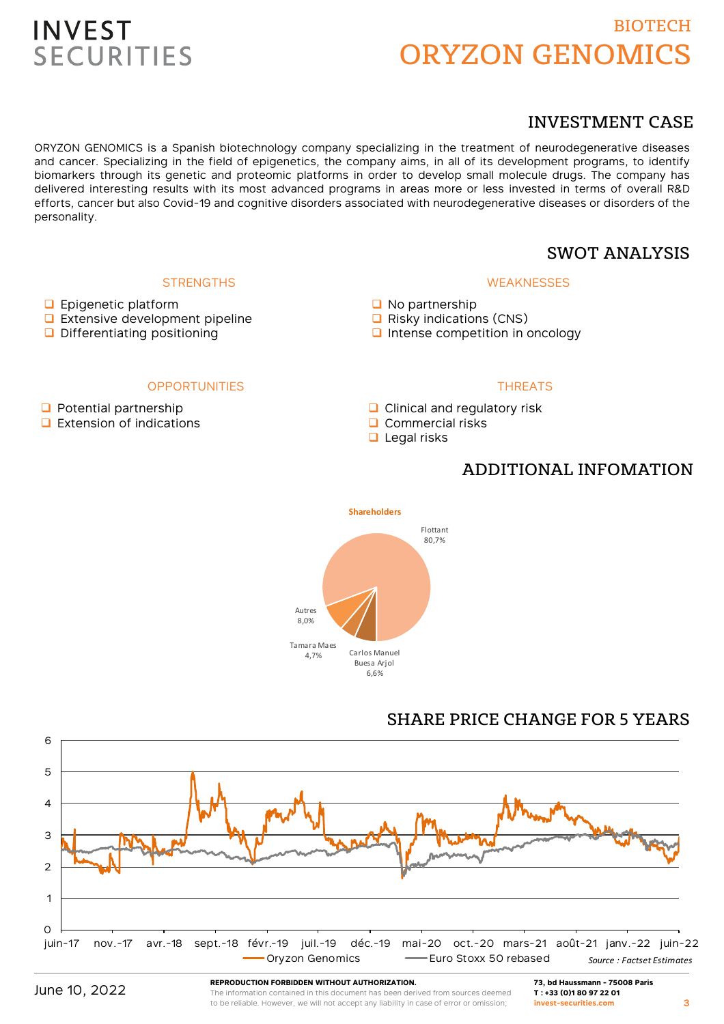## BIOTECH ORYZON GENOMICS

### INVESTMENT CASE

ORYZON GENOMICS is a Spanish biotechnology company specializing in the treatment of neurodegenerative diseases and cancer. Specializing in the field of epigenetics, the company aims, in all of its development programs, to identify biomarkers through its genetic and proteomic platforms in order to develop small molecule drugs. The company has delivered interesting results with its most advanced programs in areas more or less invested in terms of overall R&D efforts, cancer but also Covid-19 and cognitive disorders associated with neurodegenerative diseases or disorders of the personality.

### SWOT ANALYSIS

### **WEAKNESSES**

- No partnership
- $\Box$  Risky indications (CNS)
- $\Box$  Intense competition in oncology

### **OPPORTUNITIES**

**STRENGTHS** 

 $\Box$  Potential partnership

**D** Epigenetic platform

**Extensive development pipeline** D Differentiating positioning

 $\Box$  Extension of indications

### **THREATS**

- **Q** Clinical and regulatory risk
- $\Box$  Commercial risks
- $\Box$  Legal risks

### ADDITIONAL INFOMATION



### SHARE PRICE CHANGE FOR 5 YEARS



**REPRODUCTION FORBIDDEN WITHOUT AUTHORIZATION.**

The information contained in this document has been derived from sources deemed to be reliable. However, we will not accept any liability in case of error or omission;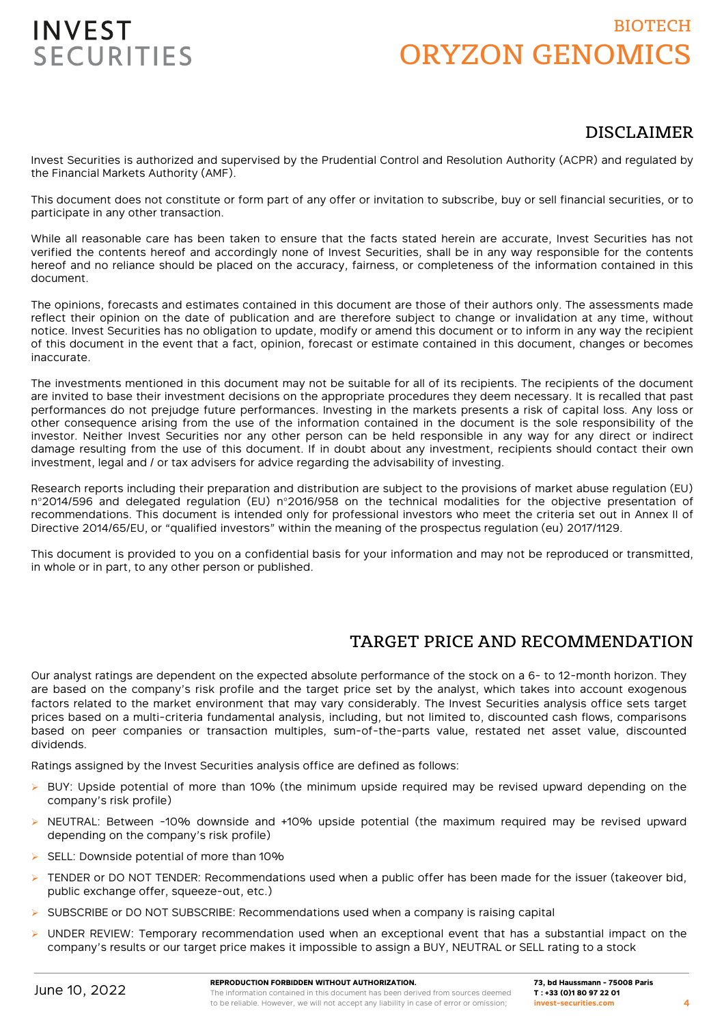## BIOTECH ORYZON GENOMICS

### DISCLAIMER

Invest Securities is authorized and supervised by the Prudential Control and Resolution Authority (ACPR) and regulated by the Financial Markets Authority (AMF).

This document does not constitute or form part of any offer or invitation to subscribe, buy or sell financial securities, or to participate in any other transaction.

While all reasonable care has been taken to ensure that the facts stated herein are accurate, Invest Securities has not verified the contents hereof and accordingly none of Invest Securities, shall be in any way responsible for the contents hereof and no reliance should be placed on the accuracy, fairness, or completeness of the information contained in this document.

The opinions, forecasts and estimates contained in this document are those of their authors only. The assessments made reflect their opinion on the date of publication and are therefore subject to change or invalidation at any time, without notice. Invest Securities has no obligation to update, modify or amend this document or to inform in any way the recipient of this document in the event that a fact, opinion, forecast or estimate contained in this document, changes or becomes inaccurate.

The investments mentioned in this document may not be suitable for all of its recipients. The recipients of the document are invited to base their investment decisions on the appropriate procedures they deem necessary. It is recalled that past performances do not prejudge future performances. Investing in the markets presents a risk of capital loss. Any loss or other consequence arising from the use of the information contained in the document is the sole responsibility of the investor. Neither Invest Securities nor any other person can be held responsible in any way for any direct or indirect damage resulting from the use of this document. If in doubt about any investment, recipients should contact their own investment, legal and / or tax advisers for advice regarding the advisability of investing.

Research reports including their preparation and distribution are subject to the provisions of market abuse regulation (EU) n°2014/596 and delegated regulation (EU) n°2016/958 on the technical modalities for the objective presentation of recommendations. This document is intended only for professional investors who meet the criteria set out in Annex II of Directive 2014/65/EU, or "qualified investors" within the meaning of the prospectus regulation (eu) 2017/1129.

This document is provided to you on a confidential basis for your information and may not be reproduced or transmitted, in whole or in part, to any other person or published.

### TARGET PRICE AND RECOMMENDATION

Our analyst ratings are dependent on the expected absolute performance of the stock on a 6- to 12-month horizon. They are based on the company's risk profile and the target price set by the analyst, which takes into account exogenous factors related to the market environment that may vary considerably. The Invest Securities analysis office sets target prices based on a multi-criteria fundamental analysis, including, but not limited to, discounted cash flows, comparisons based on peer companies or transaction multiples, sum-of-the-parts value, restated net asset value, discounted dividends.

Ratings assigned by the Invest Securities analysis office are defined as follows:

- $\triangleright$  BUY: Upside potential of more than 10% (the minimum upside required may be revised upward depending on the company's risk profile)
- $\triangleright$  NEUTRAL: Between -10% downside and +10% upside potential (the maximum required may be revised upward depending on the company's risk profile)
- SELL: Downside potential of more than 10%
- TENDER or DO NOT TENDER: Recommendations used when a public offer has been made for the issuer (takeover bid, public exchange offer, squeeze-out, etc.)
- SUBSCRIBE or DO NOT SUBSCRIBE: Recommendations used when a company is raising capital
- $\triangleright$  UNDER REVIEW: Temporary recommendation used when an exceptional event that has a substantial impact on the company's results or our target price makes it impossible to assign a BUY, NEUTRAL or SELL rating to a stock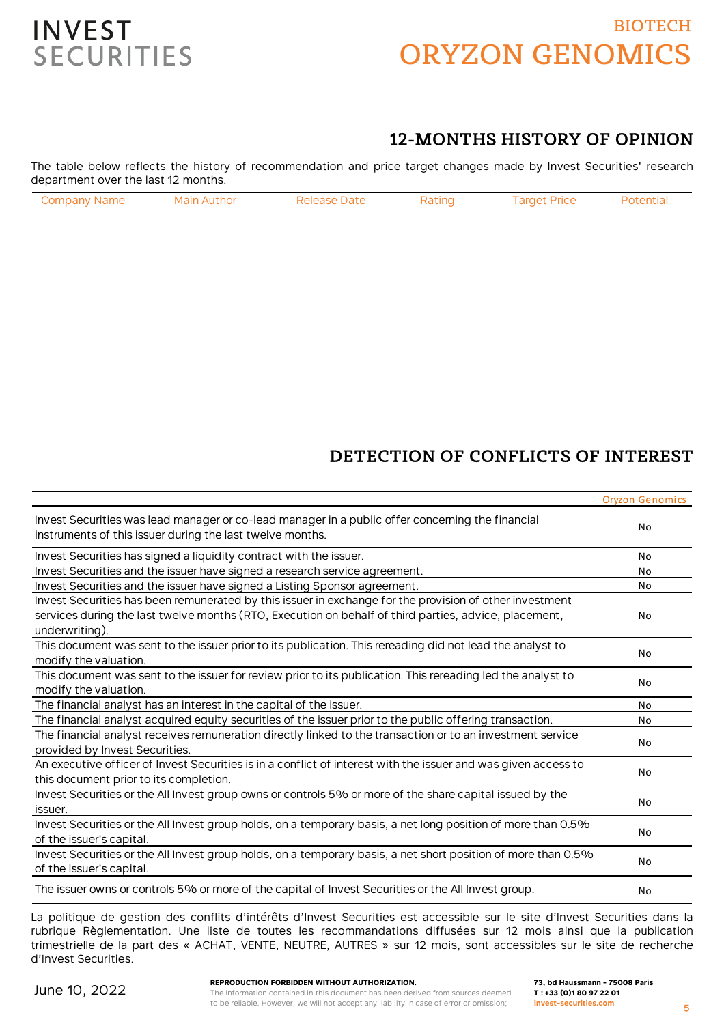## BIOTECH ORYZON GENOMICS



## 12-MONTHS HISTORY OF OPINION

The table below reflects the history of recommendation and price target changes made by Invest Securities' research department over the last 12 months.

| `omn:<br>: Name | ∵hor ∶<br>л | )afr | atinc! | ran.<br><b>Price</b> |  |
|-----------------|-------------|------|--------|----------------------|--|
|                 |             |      |        |                      |  |

## DETECTION OF CONFLICTS OF INTEREST

|                                                                                                                                                               | <b>Oryzon Genomics</b> |
|---------------------------------------------------------------------------------------------------------------------------------------------------------------|------------------------|
| Invest Securities was lead manager or co-lead manager in a public offer concerning the financial<br>instruments of this issuer during the last twelve months. | No                     |
| Invest Securities has signed a liquidity contract with the issuer.                                                                                            | No                     |
| Invest Securities and the issuer have signed a research service agreement.                                                                                    | No                     |
| Invest Securities and the issuer have signed a Listing Sponsor agreement.                                                                                     | No                     |
| Invest Securities has been remunerated by this issuer in exchange for the provision of other investment                                                       |                        |
| services during the last twelve months (RTO, Execution on behalf of third parties, advice, placement,                                                         | No                     |
| underwriting).                                                                                                                                                |                        |
| This document was sent to the issuer prior to its publication. This rereading did not lead the analyst to                                                     | No                     |
| modify the valuation.                                                                                                                                         |                        |
| This document was sent to the issuer for review prior to its publication. This rereading led the analyst to                                                   | No                     |
| modify the valuation.                                                                                                                                         |                        |
| The financial analyst has an interest in the capital of the issuer.                                                                                           | No                     |
| The financial analyst acquired equity securities of the issuer prior to the public offering transaction.                                                      | <b>No</b>              |
| The financial analyst receives remuneration directly linked to the transaction or to an investment service                                                    | No                     |
| provided by Invest Securities.                                                                                                                                |                        |
| An executive officer of Invest Securities is in a conflict of interest with the issuer and was given access to                                                | No                     |
| this document prior to its completion.                                                                                                                        |                        |
| Invest Securities or the All Invest group owns or controls 5% or more of the share capital issued by the                                                      |                        |
| issuer.                                                                                                                                                       | No                     |
| Invest Securities or the All Invest group holds, on a temporary basis, a net long position of more than 0.5%                                                  | No                     |
| of the issuer's capital.                                                                                                                                      |                        |
| Invest Securities or the All Invest group holds, on a temporary basis, a net short position of more than 0.5%                                                 |                        |
| of the issuer's capital.                                                                                                                                      | No                     |
| The issuer owns or controls 5% or more of the capital of Invest Securities or the All Invest group.                                                           | No                     |

La politique de gestion des conflits d'intérêts d'Invest Securities est accessible sur le site d'Invest Securities dans la rubrique Règlementation. Une liste de toutes les recommandations diffusées sur 12 mois ainsi que la publication trimestrielle de la part des « ACHAT, VENTE, NEUTRE, AUTRES » sur 12 mois, sont accessibles sur le site de recherche d'Invest Securities.